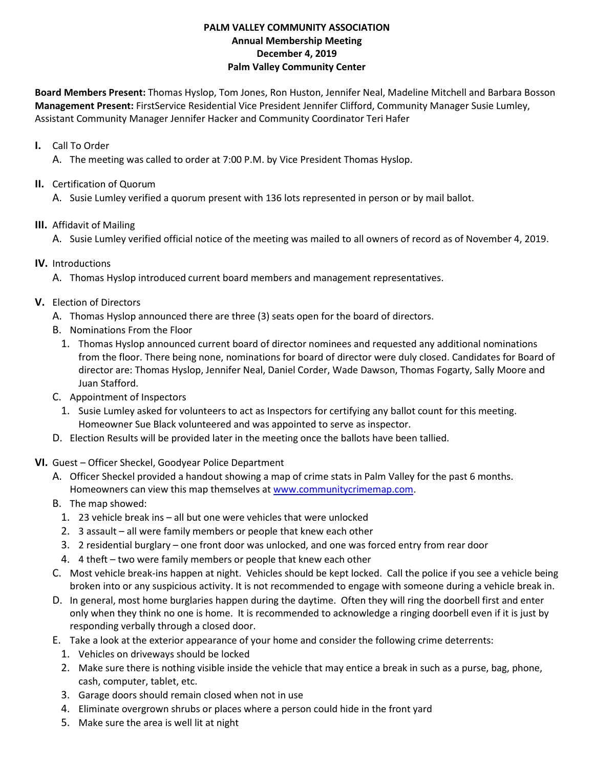#### **PALM VALLEY COMMUNITY ASSOCIATION Annual Membership Meeting December 4, 2019 Palm Valley Community Center**

**Board Members Present:** Thomas Hyslop, Tom Jones, Ron Huston, Jennifer Neal, Madeline Mitchell and Barbara Bosson **Management Present:** FirstService Residential Vice President Jennifer Clifford, Community Manager Susie Lumley, Assistant Community Manager Jennifer Hacker and Community Coordinator Teri Hafer

### **I.** Call To Order

A. The meeting was called to order at 7:00 P.M. by Vice President Thomas Hyslop.

#### **II.** Certification of Quorum

A. Susie Lumley verified a quorum present with 136 lots represented in person or by mail ballot.

### **III.** Affidavit of Mailing

A. Susie Lumley verified official notice of the meeting was mailed to all owners of record as of November 4, 2019.

# **IV.** Introductions

A. Thomas Hyslop introduced current board members and management representatives.

# **V.** Election of Directors

- A. Thomas Hyslop announced there are three (3) seats open for the board of directors.
- B. Nominations From the Floor
	- 1. Thomas Hyslop announced current board of director nominees and requested any additional nominations from the floor. There being none, nominations for board of director were duly closed. Candidates for Board of director are: Thomas Hyslop, Jennifer Neal, Daniel Corder, Wade Dawson, Thomas Fogarty, Sally Moore and Juan Stafford.
- C. Appointment of Inspectors
	- 1. Susie Lumley asked for volunteers to act as Inspectors for certifying any ballot count for this meeting. Homeowner Sue Black volunteered and was appointed to serve as inspector.
- D. Election Results will be provided later in the meeting once the ballots have been tallied.
- **VI.** Guest Officer Sheckel, Goodyear Police Department
	- A. Officer Sheckel provided a handout showing a map of crime stats in Palm Valley for the past 6 months. Homeowners can view this map themselves at www.communitycrimemap.com.
	- B. The map showed:
		- 1. 23 vehicle break ins all but one were vehicles that were unlocked
		- 2. 3 assault all were family members or people that knew each other
		- 3. 2 residential burglary one front door was unlocked, and one was forced entry from rear door
		- 4. 4 theft two were family members or people that knew each other
	- C. Most vehicle break-ins happen at night. Vehicles should be kept locked. Call the police if you see a vehicle being broken into or any suspicious activity. It is not recommended to engage with someone during a vehicle break in.
	- D. In general, most home burglaries happen during the daytime. Often they will ring the doorbell first and enter only when they think no one is home. It is recommended to acknowledge a ringing doorbell even if it is just by responding verbally through a closed door.
	- E. Take a look at the exterior appearance of your home and consider the following crime deterrents:
		- 1. Vehicles on driveways should be locked
		- 2. Make sure there is nothing visible inside the vehicle that may entice a break in such as a purse, bag, phone, cash, computer, tablet, etc.
		- 3. Garage doors should remain closed when not in use
		- 4. Eliminate overgrown shrubs or places where a person could hide in the front yard
		- 5. Make sure the area is well lit at night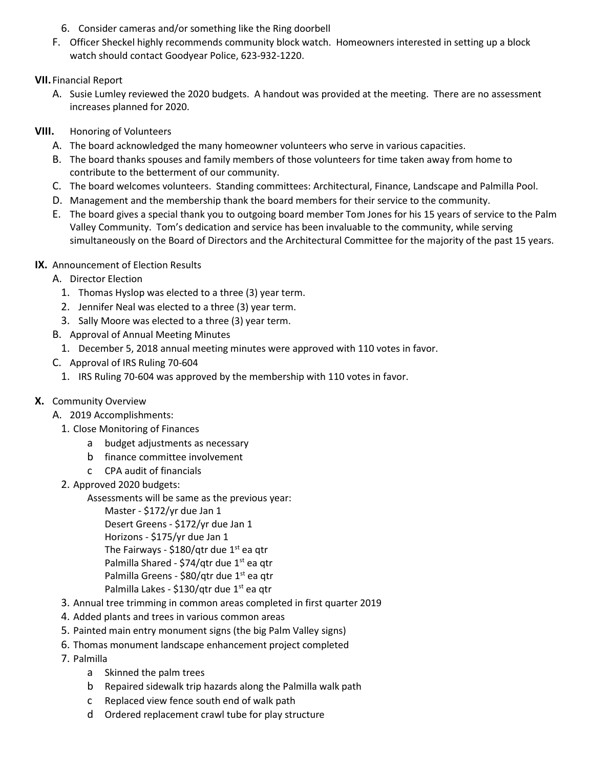- 6. Consider cameras and/or something like the Ring doorbell
- F. Officer Sheckel highly recommends community block watch. Homeowners interested in setting up a block watch should contact Goodyear Police, 623-932-1220.

# **VII.**Financial Report

- A. Susie Lumley reviewed the 2020 budgets. A handout was provided at the meeting. There are no assessment increases planned for 2020.
- **VIII.** Honoring of Volunteers
	- A. The board acknowledged the many homeowner volunteers who serve in various capacities.
	- B. The board thanks spouses and family members of those volunteers for time taken away from home to contribute to the betterment of our community.
	- C. The board welcomes volunteers. Standing committees: Architectural, Finance, Landscape and Palmilla Pool.
	- D. Management and the membership thank the board members for their service to the community.
	- E. The board gives a special thank you to outgoing board member Tom Jones for his 15 years of service to the Palm Valley Community. Tom's dedication and service has been invaluable to the community, while serving simultaneously on the Board of Directors and the Architectural Committee for the majority of the past 15 years.
- **IX.** Announcement of Election Results
	- A. Director Election
		- 1. Thomas Hyslop was elected to a three (3) year term.
		- 2. Jennifer Neal was elected to a three (3) year term.
		- 3. Sally Moore was elected to a three (3) year term.
	- B. Approval of Annual Meeting Minutes
		- 1. December 5, 2018 annual meeting minutes were approved with 110 votes in favor.
	- C. Approval of IRS Ruling 70-604
		- 1. IRS Ruling 70-604 was approved by the membership with 110 votes in favor.
- **X.** Community Overview
	- A. 2019 Accomplishments:
		- 1. Close Monitoring of Finances
			- a budget adjustments as necessary
			- b finance committee involvement
			- c CPA audit of financials
		- 2. Approved 2020 budgets:
			- Assessments will be same as the previous year:
				- Master \$172/yr due Jan 1 Desert Greens - \$172/yr due Jan 1 Horizons - \$175/yr due Jan 1 The Fairways - \$180/qtr due  $1<sup>st</sup>$  ea qtr Palmilla Shared - \$74/qtr due  $1<sup>st</sup>$  ea qtr Palmilla Greens - \$80/qtr due 1<sup>st</sup> ea qtr Palmilla Lakes - \$130/qtr due 1<sup>st</sup> ea qtr
		- 3. Annual tree trimming in common areas completed in first quarter 2019
		- 4. Added plants and trees in various common areas
		- 5. Painted main entry monument signs (the big Palm Valley signs)
		- 6. Thomas monument landscape enhancement project completed
		- 7. Palmilla
			- a Skinned the palm trees
			- b Repaired sidewalk trip hazards along the Palmilla walk path
			- c Replaced view fence south end of walk path
			- d Ordered replacement crawl tube for play structure